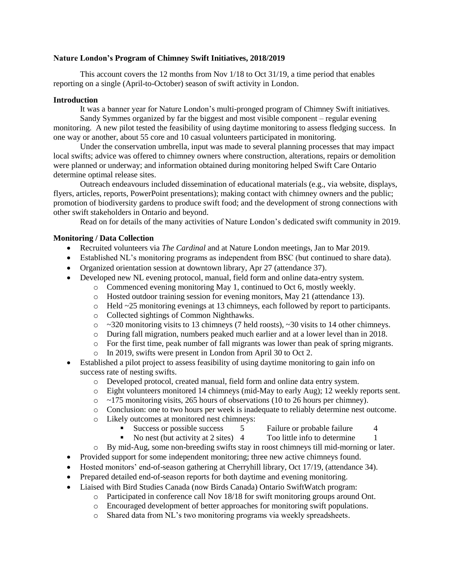### **Nature London's Program of Chimney Swift Initiatives, 2018/2019**

This account covers the 12 months from Nov 1/18 to Oct 31/19, a time period that enables reporting on a single (April-to-October) season of swift activity in London.

### **Introduction**

It was a banner year for Nature London's multi-pronged program of Chimney Swift initiatives.

Sandy Symmes organized by far the biggest and most visible component – regular evening monitoring. A new pilot tested the feasibility of using daytime monitoring to assess fledging success. In one way or another, about 55 core and 10 casual volunteers participated in monitoring.

Under the conservation umbrella, input was made to several planning processes that may impact local swifts; advice was offered to chimney owners where construction, alterations, repairs or demolition were planned or underway; and information obtained during monitoring helped Swift Care Ontario determine optimal release sites.

Outreach endeavours included dissemination of educational materials (e.g., via website, displays, flyers, articles, reports, PowerPoint presentations); making contact with chimney owners and the public; promotion of biodiversity gardens to produce swift food; and the development of strong connections with other swift stakeholders in Ontario and beyond.

Read on for details of the many activities of Nature London's dedicated swift community in 2019.

## **Monitoring / Data Collection**

- Recruited volunteers via *The Cardinal* and at Nature London meetings, Jan to Mar 2019.
- Established NL's monitoring programs as independent from BSC (but continued to share data).
- Organized orientation session at downtown library, Apr 27 (attendance 37).
- Developed new NL evening protocol, manual, field form and online data-entry system.
	- o Commenced evening monitoring May 1, continued to Oct 6, mostly weekly.
		- o Hosted outdoor training session for evening monitors, May 21 (attendance 13).
		- o Held ~25 monitoring evenings at 13 chimneys, each followed by report to participants.
		- o Collected sightings of Common Nighthawks.
		- $\circ$  ~320 monitoring visits to 13 chimneys (7 held roosts), ~30 visits to 14 other chimneys.
		- o During fall migration, numbers peaked much earlier and at a lower level than in 2018.
	- o For the first time, peak number of fall migrants was lower than peak of spring migrants.
		- o In 2019, swifts were present in London from April 30 to Oct 2.
- Established a pilot project to assess feasibility of using daytime monitoring to gain info on success rate of nesting swifts.
	- o Developed protocol, created manual, field form and online data entry system.
	- o Eight volunteers monitored 14 chimneys (mid-May to early Aug); 12 weekly reports sent.
	- $\circ$  ~175 monitoring visits, 265 hours of observations (10 to 26 hours per chimney).
	- o Conclusion: one to two hours per week is inadequate to reliably determine nest outcome.
	- o Likely outcomes at monitored nest chimneys:
		- Success or possible success 5 Failure or probable failure 4
		- No nest (but activity at 2 sites) 4 Too little info to determine 1
	- o By mid-Aug, some non-breeding swifts stay in roost chimneys till mid-morning or later.
- Provided support for some independent monitoring; three new active chimneys found.
- Hosted monitors' end-of-season gathering at Cherryhill library, Oct 17/19, (attendance 34).
- Prepared detailed end-of-season reports for both daytime and evening monitoring.
- Liaised with Bird Studies Canada (now Birds Canada) Ontario SwiftWatch program:
	- o Participated in conference call Nov 18/18 for swift monitoring groups around Ont.
	- o Encouraged development of better approaches for monitoring swift populations.
	- o Shared data from NL's two monitoring programs via weekly spreadsheets.